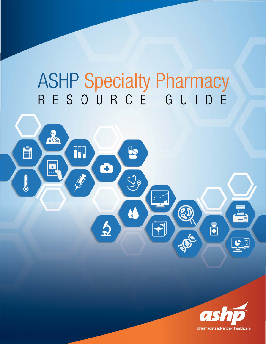# **ASHP Specialty Pharmacy**  RESOURCE GUIDE

 $\frac{1}{2}$ 

 $\mathcal{G}_{\rho}$ 

 $\sqrt{\frac{1}{2}}$ 

Ô

 $\frac{1}{2}$ 

**OND** 

H

H

 $\bullet$  and and  $\bullet$ 

TI S



 $\mathbf{E}$ 

 $\bullet$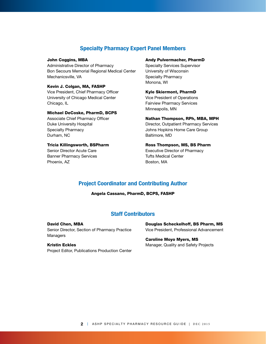# **Specialty Pharmacy Expert Panel Members**

## John Coggins, MBA

Administrative Director of Pharmacy Bon Secours Memorial Regional Medical Center Mechanicsville, VA

# Kevin J. Colgan, MA, FASHP

Vice President, Chief Pharmacy Officer University of Chicago Medical Center Chicago, IL

## Michael DeCoske, PharmD, BCPS

Associate Chief Pharmacy Officer Duke University Hospital Specialty Pharmacy Durham, NC

#### Tricia Killingsworth, BSPharm

Senior Director Acute Care Banner Pharmacy Services Phoenix, AZ

## Andy Pulvermacher, PharmD

Specialty Services Supervisor University of Wisconsin Specialty Pharmacy Monona, WI

# Kyle Skiermont, PharmD

Vice President of Operations Fairview Pharmacy Services Minneapolis, MN

#### Nathan Thompson, RPh, MBA, MPH

Director, Outpatient Pharmacy Services Johns Hopkins Home Care Group Baltimore, MD

# Ross Thompson, MS, BS Pharm Executive Director of Pharmacy Tufts Medical Center Boston, MA

# **Project Coordinator and Contributing Author**

Angela Cassano, PharmD, BCPS, FASHP

# **Staff Contributors**

David Chen, MBA Senior Director, Section of Pharmacy Practice Managers

# Kristin Eckles Project Editor, Publications Production Center

Douglas Scheckelhoff, BS Pharm, MS Vice President, Professional Advancement

# Caroline Moyo Myers, MS Manager, Quality and Safety Projects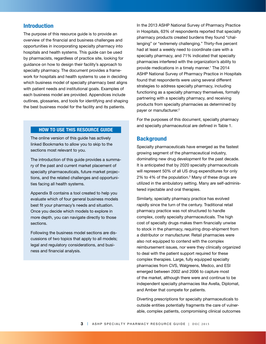# **Introduction**

The purpose of this resource guide is to provide an overview of the financial and business challenges and opportunities in incorporating specialty pharmacy into hospitals and health systems. This guide can be used by pharmacists, regardless of practice site, looking for guidance on how to design their facility's approach to specialty pharmacy. The document provides a framework for hospitals and health systems to use in deciding which business model of specialty pharmacy best aligns with patient needs and institutional goals. Examples of each business model are provided. Appendices include outlines, glossaries, and tools for identifying and shaping the best business model for the facility and its patients.

# **HOW TO USE THIS RESOURCE GUIDE**

The online version of this guide has actively linked Bookmarks to allow you to skip to the sections most relevant to you.

The introduction of this guide provides a summary of the past and current market placement of specialty pharmaceuticals, future market projections, and the related challenges and opportunities facing all health systems.

Appendix B contains a tool created to help you evaluate which of four general business models best fit your pharmacy's needs and situation. Once you decide which models to explore in more depth, you can navigate directly to those sections.

Following the business model sections are discussions of two topics that apply to all models; legal and regulatory considerations, and business and financial analysis.

In the 2013 ASHP National Survey of Pharmacy Practice in Hospitals, 63% of respondents reported that specialty pharmacy products created burdens they found "challenging" or "extremely challenging." Thirty-five percent had at least a weekly need to coordinate care with a specialty pharmacy, and 71% indicated that specialty pharmacies interfered with the organization's ability to provide medications in a timely manner.<sup>1</sup> The 2014 ASHP National Survey of Pharmacy Practice in Hospitals found that respondents were using several different strategies to address specialty pharmacy, including functioning as a specialty pharmacy themselves, formally partnering with a specialty pharmacy, and receiving products from specialty pharmacies as determined by payer or manufacturer.<sup>2</sup>

For the purposes of this document, specialty pharmacy and specialty pharmaceutical are defined in Table 1.

# **Background**

Specialty pharmaceuticals have emerged as the fastest growing segment of the pharmaceutical industry, dominating new drug development for the past decade. It is anticipated that by 2020 specialty pharmaceuticals will represent 50% of all US drug expenditures for only 2% to 4% of the population.3 Many of these drugs are utilized in the ambulatory setting. Many are self-administered injectable and oral therapies.

Similarly, specialty pharmacy practice has evolved rapidly since the turn of the century. Traditional retail pharmacy practice was not structured to handle complex, costly specialty pharmaceuticals. The high cost of specialty drugs makes them financially unwise to stock in the pharmacy, requiring drop-shipment from a distributor or manufacturer. Retail pharmacies were also not equipped to contend with the complex reimbursement issues, nor were they clinically organized to deal with the patient support required for these complex therapies. Large, fully equipped specialty pharmacies from CVS, Walgreens, Medco, and ESI emerged between 2002 and 2006 to capture most of the market, although there were and continue to be independent specialty pharmacies like Avella, Diplomat, and Amber that compete for patients.

Diverting prescriptions for specialty pharmaceuticals to outside entities potentially fragments the care of vulnerable, complex patients, compromising clinical outcomes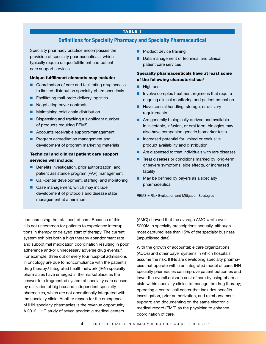## TABLE 1

# **Definitions for Specialty Pharmacy and Specialty Pharmaceutical**

Specialty pharmacy practice encompasses the provision of specialty pharmaceuticals, which typically require unique fulfillment and patient care support services.

#### Unique fulfillment elements may include:

- $\blacksquare$  Coordination of care and facilitating drug access to limited distribution specialty pharmaceuticals
- Facilitating mail-order delivery logistics
- **n** Negotiating payer contracts
- **n** Maintaining cold-chain distribution
- Dispensing and tracking a significant number of products requiring REMS
- $\blacksquare$  Accounts receivable support/management
- **n** Program accreditation management and development of program marketing materials

# Technical and clinical patient care support services will include:

- Benefits investigation, prior authorization, and patient assistance program (PAP) management
- $\blacksquare$  Call-center development, staffing, and monitoring
- $\blacksquare$  Case management, which may include development of protocols and disease state management at a minimum
- $\blacksquare$  Product device training
- Data management of technical and clinical patient care services

# Specialty pharmaceuticals have at least some of the following characteristics:4

- $\blacksquare$  High cost
- $\blacksquare$  Involve complex treatment regimens that require ongoing clinical monitoring and patient education
- Have special handling, storage, or delivery requirements
- $\blacksquare$  Are generally biologically derived and available in injectable, infusion, or oral form; biologics may also have companion genetic biomarker tests
- $\blacksquare$  Increased potential for limited or exclusive product availability and distribution
- $\blacksquare$  Are dispensed to treat individuals with rare diseases
- $\blacksquare$  Treat diseases or conditions marked by long-term or severe symptoms, side effects, or increased fatality
- $\blacksquare$  May be defined by payers as a specialty pharmaceutical

REMS = Risk Evaluation and Mitigation Strategies

and increasing the total cost of care. Because of this, it is not uncommon for patients to experience interruptions in therapy or delayed start of therapy. The current system exhibits both a high therapy abandonment rate and suboptimal medication coordination resulting in poor adherence and/or unnecessary adverse drug events.<sup>5</sup> For example, three out of every four hospital admissions in oncology are due to noncompliance with the patient's drug therapy.6 Integrated health network (IHN) specialty pharmacies have emerged in the marketplace as the answer to a fragmented system of specialty care caused by utilization of big box and independent specialty pharmacies, which are not operationally integrated with the specialty clinic. Another reason for the emergence of IHN specialty pharmacies is the revenue opportunity. A 2012 UHC study of seven academic medical centers

(AMC) showed that the average AMC wrote over \$200M in specialty prescriptions annually, although most captured less than 15% of the specialty business (unpublished data).

With the growth of accountable care organizations (ACOs) and other payer systems in which hospitals assume the risk, IHNs are developing specialty pharmacies that operate within an integrated model of care. IHN specialty pharmacies can improve patient outcomes and lower the overall episode cost of care by using pharmacists within specialty clinics to manage the drug therapy; operating a central call center that includes benefits investigation, prior authorization, and reimbursement support; and documenting on the same electronic medical record (EMR) as the physician to enhance coordination of care.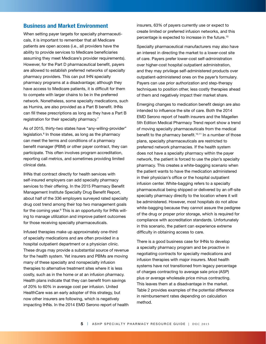# **Business and Market Environment**

When setting payer targets for specialty pharmaceuticals, it is important to remember that all Medicare patients are open access (i.e., all providers have the ability to provide services to Medicare beneficiaries assuming they meet Medicare's provider requirements). However, for the Part D pharmaceutical benefit, payers are allowed to establish preferred networks of specialty pharmacy providers. This can put IHN specialty pharmacy programs at a disadvantage; although they have access to Medicare patients, it is difficult for them to compete with larger chains to be in the preferred network. Nonetheless, some specialty medications, such as Humira, are also provided as a Part B benefit. IHNs can fill these prescriptions as long as they have a Part B registration for their specialty pharmacy.<sup>7</sup>

As of 2015, thirty-two states have "any-willing-provider" legislation.<sup>8</sup> In those states, as long as the pharmacy can meet the terms and conditions of a pharmacy benefit manager (PBM) or other payer contract, they can participate. This often involves program accreditation, reporting call metrics, and sometimes providing limited clinical data.

IHNs that contract directly for health services with self-insured employers can add specialty pharmacy services to their offering. In the 2015 Pharmacy Benefit Management Institute Specialty Drug Benefit Report, about half of the 336 employers surveyed rated specialty drug cost trend among their top two management goals for the coming year.<sup>9</sup> This is an opportunity for IHNs willing to manage utilization and improve patient outcomes for those receiving specialty pharmaceuticals.

Infused therapies make up approximately one-third of specialty medications and are often provided in a hospital outpatient department or a physician clinic. These drugs may provide a substantial source of revenue for the health system. Yet insurers and PBMs are moving many of these specialty and nonspecialty infusion therapies to alternative treatment sites where it is less costly, such as in the home or at an infusion pharmacy. Health plans indicate that they can benefit from savings of 20% to 60% in average cost per infusion. United HealthCare was an early adopter of this strategy, but now other insurers are following, which is negatively impacting IHNs. In the 2014 EMD Serono report of health insurers, 63% of payers currently use or expect to create limited or preferred infusion networks, and this percentage is expected to increase in the future.10

Specialty pharmaceutical manufacturers may also have an interest in directing the market to a lower-cost site of care. Payers prefer lower-cost self-administration over higher-cost hospital outpatient administration, and they may privilege self-administered products over outpatient-administered ones on the payer's formulary. Payers can use prior authorization and step-therapy techniques to position other, less costly therapies ahead of them and negatively impact their market share.

Emerging changes to medication benefit design are also intended to influence the site of care. Both the 2014 EMD Serono report of health insurers and the Magellen 5th Edition Medical Pharmacy Trend report show a trend of moving specialty pharmaceuticals from the medical benefit to the pharmacy benefit.<sup>10,11</sup> In a number of those plans, specialty pharmaceuticals are restricted to preferred network pharmacies. If the health system does not have a specialty pharmacy within the payer network, the patient is forced to use the plan's specialty pharmacy. This creates a white-bagging scenario when the patient wants to have the medication administered in their physician's office or the hospital outpatient infusion center. White-bagging refers to a specialty pharmaceutical being shipped or delivered by an off-site specialty pharmacy directly to the location where it will be administered. However, most hospitals do not allow white-bagging because they cannot assure the pedigree of the drug or proper prior storage, which is required for compliance with accreditation standards. Unfortunately in this scenario, the patient can experience extreme difficulty in obtaining access to care.

There is a good business case for IHNs to develop a specialty pharmacy program and be proactive in negotiating contracts for specialty medications and infusion therapies with major insurers. Most health systems have not transitioned from legacy percentage of charges contracting to average sale price (ASP) plus or average wholesale price minus contracting. This leaves them at a disadvantage in the market. Table 2 provides examples of the potential difference in reimbursement rates depending on calculation method.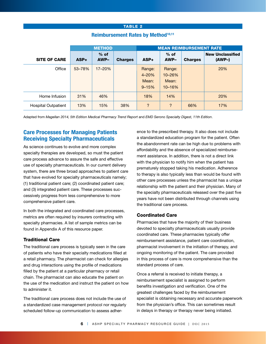## TABLE 2

|                            | <b>METHOD</b> |                |                | <b>MEAN REIMBURSEMENT RATE</b>            |                                         |                |                                     |
|----------------------------|---------------|----------------|----------------|-------------------------------------------|-----------------------------------------|----------------|-------------------------------------|
| <b>SITE OF CARE</b>        | ASP+          | $%$ of<br>AWP- | <b>Charges</b> | ASP+                                      | $%$ of<br>AWP-                          | <b>Charges</b> | <b>New Unclassified</b><br>$(AWP-)$ |
| Office                     | 53-78%        | $17 - 20%$     |                | Range:<br>$4 - 20%$<br>Mean:<br>$9 - 15%$ | Range:<br>$10 - 26%$<br>Mean:<br>10-16% |                | 20%                                 |
| Home Infusion              | 31%           | 46%            |                | 18%                                       | 14%                                     |                | 20%                                 |
| <b>Hospital Outpatient</b> | 13%           | 15%            | 38%            | ?                                         | $\ddot{?}$                              | 66%            | 17%                                 |

# **Reimbursement Rates by Method<sup>10,11</sup>**

Adapted from *Magellan 2014, 5th Edition Medical Pharmacy Trend Report* and *EMD Serono Specialty Digest, 11th Edition*.

# **Care Processes for Managing Patients Receiving Specialty Pharmaceuticals**

As science continues to evolve and more complex specialty therapies are developed, so must the patient care process advance to assure the safe and effective use of specialty pharmaceuticals. In our current delivery system, there are three broad approaches to patient care that have evolved for specialty pharmaceuticals namely; (1) traditional patient care; (2) coordinated patient care; and (3) integrated patient care. These processes successively progress from less comprehensive to more comprehensive patient care.

In both the integrated and coordinated care processes, metrics are often required by insurers contracting with specialty pharmacies. A list of sample metrics can be found in Appendix A of this resource paper.

## Traditional Care

The traditional care process is typically seen in the care of patients who have their specialty medications filled at a retail pharmacy. The pharmacist can check for allergies and drug interactions using the profile of medications filled by the patient at a particular pharmacy or retail chain. The pharmacist can also educate the patient on the use of the medication and instruct the patient on how to administer it.

The traditional care process does not include the use of a standardized case management protocol nor regularly scheduled follow-up communication to assess adherence to the prescribed therapy. It also does not include a standardized education program for the patient. Often the abandonment rate can be high due to problems with affordability and the absence of specialized reimbursement assistance. In addition, there is not a direct link with the physician to notify him when the patient has prematurely stopped taking his medication. Adherence to therapy is also typically less than would be found with other care processes unless the pharmacist has a unique relationship with the patient and their physician. Many of the specialty pharmaceuticals released over the past five years have not been distributed through channels using the traditional care process.

# Coordinated Care

Pharmacies that have the majority of their business devoted to specialty pharmaceuticals usually provide coordinated care. These pharmacies typically offer reimbursement assistance, patient care coordination, pharmacist involvement in the initiation of therapy, and ongoing monitoring of the patient. The care provided in this process of care is more comprehensive than the standard process of care.

Once a referral is received to initiate therapy, a reimbursement specialist is assigned to perform benefits investigation and verification. One of the greatest challenges faced by the reimbursement specialist is obtaining necessary and accurate paperwork from the physician's office. This can sometimes result in delays in therapy or therapy never being initiated.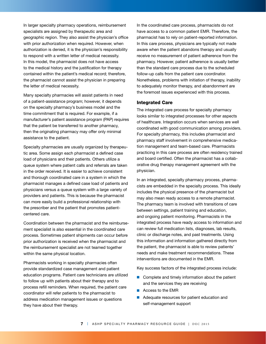In larger specialty pharmacy operations, reimbursement specialists are assigned by therapeutic area and geographic region. They also assist the physician's office with prior authorization when required. However, when authorization is denied, it is the physician's responsibility to respond with a written letter of medical necessity. In this model, the pharmacist does not have access to the medical history and the justification for therapy contained within the patient's medical record; therefore, the pharmacist cannot assist the physician in preparing the letter of medical necessity.

Many specialty pharmacies will assist patients in need of a patient-assistance program; however, it depends on the specialty pharmacy's business model and the time commitment that is required. For example, if a manufacturer's patient assistance program (PAP) requires that the patient be transferred to another pharmacy, then the originating pharmacy may offer only minimal assistance to the patient.

Specialty pharmacies are usually organized by therapeutic area. Some assign each pharmacist a defined case load of physicians and their patients. Others utilize a queue system where patient calls and referrals are taken in the order received. It is easier to achieve consistent and thorough coordinated care in a system in which the pharmacist manages a defined case load of patients and physicians versus a queue system with a large variety of providers and patients. This is because the pharmacist can more easily build a professional relationship with the prescriber and the patient that promotes patientcentered care.

Coordination between the pharmacist and the reimbursement specialist is also essential in the coordinated care process. Sometimes patient shipments can occur before prior authorization is received when the pharmacist and the reimbursement specialist are not teamed together within the same physical location.

Pharmacists working in specialty pharmacies often provide standardized case management and patient education programs. Patient care technicians are utilized to follow up with patients about their therapy and to process refill reminders. When required, the patient care coordinator will refer patients to the pharmacist to address medication management issues or questions they have about their therapy.

In the coordinated care process, pharmacists do not have access to a common patient EMR. Therefore, the pharmacist has to rely on patient-reported information. In this care process, physicians are typically not made aware when the patient abandons therapy and usually receive no measurement of patient adherence from the pharmacy. However, patient adherence is usually better than the standard care process due to the scheduled follow-up calls from the patient care coordinator. Nonetheless, problems with initiation of therapy, inability to adequately monitor therapy, and abandonment are the foremost issues experienced with this process.

## Integrated Care

The integrated care process for specialty pharmacy looks similar to integrated processes for other aspects of healthcare. Integration occurs when services are well coordinated with good communication among providers. For specialty pharmacy, this includes pharmacist and pharmacy staff involvement in comprehensive medication management and team-based care. Pharmacists practicing in this care process are often residency trained and board certified. Often the pharmacist has a collaborative drug therapy management agreement with the physician.

In an integrated, specialty pharmacy process, pharmacists are embedded in the specialty process. This ideally includes the physical presence of the pharmacist but may also mean ready access to a remote pharmacist. The pharmacy team is involved with transitions of care between settings, patient training and education, and ongoing patient monitoring. Pharmacists in the integrated process have ready access to information and can review full medication lists, diagnoses, lab results, clinic or discharge notes, and past treatments. Using this information and information gathered directly from the patient, the pharmacist is able to review patients' needs and make treatment recommendations. These interventions are documented in the EMR.

Key success factors of the integrated process include:

- $\blacksquare$  Complete and timely information about the patient and the services they are receiving
- $\blacksquare$  Access to the EMR
- $\blacksquare$  Adequate resources for patient education and self-management support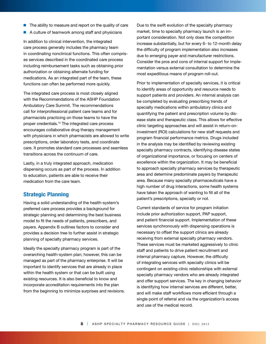- $\blacksquare$  The ability to measure and report on the quality of care
- A culture of teamwork among staff and physicians

In addition to clinical intervention, the integrated care process generally includes the pharmacy team in coordinating nonclinical functions. This often comprises services described in the coordinated care process including reimbursement tasks such as obtaining prior authorization or obtaining alternate funding for medications. As an integrated part of the team, these functions can often be performed more quickly.

The integrated care process is most closely aligned with the Recommendations of the ASHP Foundation Ambulatory Care Summit. The recommendations call for interprofessional patient care teams and for pharmacists practicing on those teams to have the proper credentials.13 The integrated care process encourages collaborative drug therapy management with physicians in which pharmacists are allowed to write prescriptions, order laboratory tests, and coordinate care. It promotes standard care processes and seamless transitions across the continuum of care.

Lastly, in a truly integrated approach, medication dispensing occurs as part of the process. In addition to education, patients are able to receive their medication from the care team.

# **Strategic Planning**

Having a solid understanding of the health-system's preferred care process provides a background for strategic planning and determining the best business model to fit the needs of patients, prescribers, and payers. Appendix B outlines factors to consider and provides a decision tree to further assist in strategic planning of specialty pharmacy services.

Ideally the specialty pharmacy program is part of the overarching health-system plan; however, this can be managed as part of the pharmacy enterprise. It will be important to identify services that are already in place within the health system or that can be built using existing resources. It is also beneficial to know and incorporate accreditation requirements into the plan from the beginning to minimize surprises and revisions. Due to the swift evolution of the specialty pharmacy market, time to specialty pharmacy launch is an important consideration. Not only does the competition increase substantially, but for every 6- to 12-month delay the difficulty of program implementation also increases due to emerging payer and manufacturer restrictions. Consider the pros and cons of internal support for implementation versus external consultation to determine the most expeditious means of program roll-out.

Prior to implementation of specialty services, it is critical to identify areas of opportunity and resource needs to support patients and providers. An internal analysis can be completed by evaluating prescribing trends of specialty medications within ambulatory clinics and quantifying the patient and prescription volume by disease state and therapeutic class. This allows for effective clinic targeting approaches and will assist in return-oninvestment (ROI) calculations for new staff requests and program financial performance metrics. Drugs included in the analysis may be identified by reviewing existing specialty pharmacy contracts, identifying disease states of organizational importance, or focusing on centers of excellence within the organization. It may be beneficial to approach specialty pharmacy services by therapeutic area and determine predominate payers by therapeutic area. Because many specialty pharmaceuticals have a high number of drug interactions, some health systems have taken the approach of wanting to fill all of the patient's prescriptions, specialty or not.

Current standards of service for program initiation include prior authorization support, PAP support, and patient financial support. Implementation of these services synchronously with dispensing operations is necessary to offset the support clinics are already receiving from external specialty pharmacy vendors. These services must be marketed aggressively to clinic staff and patients to drive patient recruitment and internal pharmacy capture. However, the difficulty of integrating services with specialty clinics will be contingent on existing clinic relationships with external specialty pharmacy vendors who are already integrated and offer support services. The key in changing behavior is identifying how internal services are different, better, and will make staff workflows more efficient through a single point of referral and via the organization's access and use of the medical record.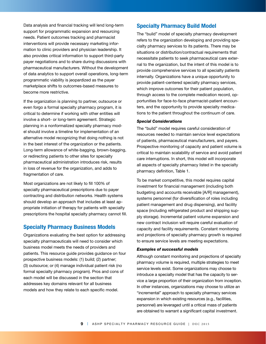Data analysis and financial tracking will lend long-term support for programmatic expansion and resourcing needs. Patient outcomes tracking and pharmacist interventions will provide necessary marketing information to clinic providers and physician leadership. It also provides critical information to support third-party payer negotiations and to share during discussions with pharmaceutical manufacturers. Without the development of data analytics to support overall operations, long-term programmatic viability is jeopardized as the payer marketplace shifts to outcomes-based measures to become more restrictive.

If the organization is planning to partner, outsource or even forgo a formal specialty pharmacy program, it is critical to determine if working with other entities will involve a short- or long-term agreement. Strategic planning in a nonformalized specialty pharmacy model should involve a timeline for implementation of an alternative model recognizing that doing nothing is not in the best interest of the organization or the patients. Long-term allowance of white-bagging, brown-bagging, or redirecting patients to other sites for specialty pharmaceutical administration introduces risk, results in loss of revenue for the organization, and adds to fragmentation of care.

Most organizations are not likely to fill 100% of specialty pharmaceutical prescriptions due to payer contracting and distribution networks. Health systems should develop an approach that includes at least appropriate initiation of therapy for patients with specialty prescriptions the hospital specialty pharmacy cannot fill.

# **Specialty Pharmacy Business Models**

Organizations evaluating the best option for addressing specialty pharmaceuticals will need to consider which business model meets the needs of providers and patients. This resource guide provides guidance on four prospective business models: (1) build; (2) partner; (3) outsource; or (4) manage individual patient risk (no formal specialty pharmacy program). Pros and cons of each model will be discussed in the section that addresses key domains relevant for all business models and how they relate to each specific model.

# **Specialty Pharmacy Build Model**

The "build" model of specialty pharmacy development refers to the organization developing and providing specialty pharmacy services to its patients. There may be situations or distribution/contractual requirements that necessitate patients to seek pharmaceutical care external to the organization, but the intent of this model is to provide comprehensive services to all specialty patients internally. Organizations have a unique opportunity to provide patient-centered specialty pharmacy services, which improve outcomes for their patient population, through access to the complete medication record, opportunities for face-to-face pharmacist-patient encounters, and the opportunity to provide specialty medications to the patient throughout the continuum of care.

#### *Special Considerations*

The "build" model requires careful consideration of resources needed to maintain service level expectations of patients, pharmaceutical manufacturers, and payers. Prospective monitoring of capacity and patient volume is critical to maintain scalability of service and avoid patient care interruptions. In short, this model will incorporate all aspects of specialty pharmacy listed in the specialty pharmacy definition, Table 1.

To be market competitive, this model requires capital investment for financial management (including both budgeting and accounts receivable [A/R] management), systems personnel (for diversification of roles including patient management and drug dispensing), and facility space (including refrigerated product and shipping supply storage). Incremental patient volume expansion and new contract inclusion will require careful evaluation of capacity and facility requirements. Constant monitoring and projections of specialty pharmacy growth is required to ensure service levels are meeting expectations.

#### *Examples of successful models*

Although constant monitoring and projections of specialty pharmacy volume is required, multiple strategies to meet service levels exist. Some organizations may choose to introduce a specialty model that has the capacity to service a large proportion of their organization from inception. In other instances, organizations may choose to utilize an "incremental" approach to specialty pharmacy services expansion in which existing resources (e.g., facilities, personnel) are leveraged until a critical mass of patients are obtained to warrant a significant capital investment.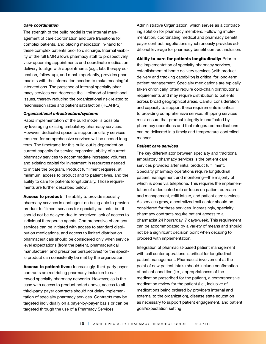#### *Care coordination*

The strength of the build model is the internal management of care coordination and care transitions for complex patients, and placing medication in-hand for these complex patients prior to discharge. Internal visibility of the full EMR allows pharmacy staff to prospectively view upcoming appointments and coordinate medication delivery to align with appointments (e.g., lab, therapy education, follow-up), and most importantly, provides pharmacists with the information needed to make meaningful interventions. The presence of internal specialty pharmacy services can decrease the likelihood of transitional issues, thereby reducing the organizational risk related to readmission rates and patient satisfaction (HCAHPS).

#### *Organizational infrastructure/systems*

Rapid implementation of the build model is possible by leveraging existing ambulatory pharmacy services. However, dedicated space to support ancillary services required for comprehensive services will be needed longterm. The timeframe for this build-out is dependent on current capacity for service expansion, ability of current pharmacy services to accommodate increased volumes, and existing capital for investment in resources needed to initiate the program. Product fulfillment requires, at minimum, access to product and to patient lives, and the ability to care for patients longitudinally. Those requirements are further described below:

Access to product: The ability to provide specialty pharmacy services is contingent on being able to provide product fulfillment services for specialty patients, but it should not be delayed due to perceived lack of access to individual therapeutic agents. Comprehensive pharmacy services can be initiated with access to standard distribution medications, and access to limited distribution pharmaceuticals should be considered only when service level expectations (from the patient, pharmaceutical manufacturer, and prescriber perspectives) for the specific product can consistently be met by the organization.

Access to patient lives: Increasingly, third-party payer contracts are restricting pharmacy inclusion to narrowed specialty pharmacy networks. However, as is the case with access to product noted above, access to all third-party payer contracts should not delay implementation of specialty pharmacy services. Contracts may be targeted individually on a payer-by-payer basis or can be targeted through the use of a Pharmacy Services

Administrative Organization, which serves as a contracting solution for pharmacy members. Following implementation, coordinating medical and pharmacy benefit payer contract negotiations synchronously provides additional leverage for pharmacy benefit contract inclusion.

Ability to care for patients longitudinally: Prior to the implementation of specialty pharmacy services, establishment of home delivery services (with product delivery and tracking capability) is critical for long-term patient management. Specialty medications are typically taken chronically, often require cold-chain distributional requirements and may require distribution to patients across broad geographical areas. Careful consideration and capacity to support these requirements is critical to providing comprehensive service. Shipping services must ensure that product integrity is unaffected by pharmacy operations and that refrigerated medications can be delivered in a timely and temperature-controlled manner.

## *Patient care services*

The key differentiator between specialty and traditional ambulatory pharmacy services is the patient care services provided after initial product fulfillment. Specialty pharmacy operations require longitudinal patient management and monitoring—the majority of which is done via telephone. This requires the implementation of a dedicated role or focus on patient outreach and management, refill intake, and patient care services. As services grow, a centralized call center should be considered for these services. Increasingly, specialty pharmacy contracts require patient access to a pharmacist 24 hours/day, 7 days/week. This requirement can be accommodated by a variety of means and should not be a significant decision point when deciding to proceed with implementation.

Integration of pharmacist-based patient management with call center operations is critical for longitudinal patient management. Pharmacist involvement at the point of new patient intake should include confirmation of patient condition (i.e., appropriateness of the medication prescribed for the patient), a comprehensive medication review for the patient (i.e., inclusive of medications being ordered by providers internal and external to the organization), disease state education as necessary to support patient engagement, and patient goal/expectation setting.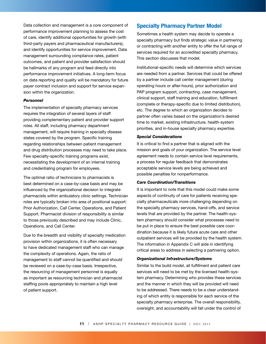Data collection and management is a core component of performance improvement planning to assess the cost of care, identify additional opportunities for growth (with third-party payers and pharmaceutical manufacturers), and identify opportunities for service improvement. Data management surrounding compliance rates, patient outcomes, and patient and provider satisfaction should be hallmarks of any program and feed directly into performance improvement initiatives. A long-term focus on data reporting and quality will be mandatory for future payer contract inclusion and support for service expansion within the organization.

#### *Personnel*

The implementation of specialty pharmacy services requires the integration of several layers of staff providing complementary patient and provider support roles. All staff, including pharmacy department management, will require training in specialty disease states covered by the program. Specific training regarding relationships between patient management and drug distribution processes may need to take place. Few specialty-specific training programs exist, necessitating the development of an internal training and credentialing program for employees.

The optimal ratio of technicians to pharmacists is best determined on a case-by-case basis and may be influenced by the organizational decision to integrate pharmacists within ambulatory clinic settings. Technician roles are typically broken into area of positional support: Prior Authorization, Call Center, Operations, and Patient Support. Pharmacist division of responsibility is similar to those previously described and may include Clinic, Operations, and Call Center.

Due to the breadth and visibility of specialty medication provision within organizations, it is often necessary to have dedicated management staff who can manage the complexity of operations. Again, the ratio of management to staff cannot be quantified and should be reviewed on a case-by-case basis. Irrespective, the resourcing of management personnel is equally as important as resourcing technician and pharmacist staffing pools appropriately to maintain a high level of patient support.

# **Specialty Pharmacy Partner Model**

Sometimes a health system may decide to operate a specialty pharmacy but finds strategic value in partnering or contracting with another entity to offer the full range of services required for an accredited specialty pharmacy. This section discusses that model.

Institutional-specific needs will determine which services are needed from a partner. Services that could be offered by a partner include call center management (during operating hours or after-hours), prior authorization and PAP program support, contracting, case management, clinical support, staff training and education, fulfillment (complete or therapy-specific due to limited distribution), etc. The degree to which an organization decides to partner often varies based on the organization's desired time to market, existing infrastructure, health-system priorities, and in-house specialty pharmacy expertise.

#### *Special Considerations*

It is critical to find a partner that is aligned with the mission and goals of your organization. The service level agreement needs to contain service level requirements, a process for regular feedback that demonstrates acceptable service levels are being achieved and possible penalties for nonperformance.

#### *Care Coordination/Transitions*

It is important to note that this model could make some aspects of continuity of care for patients receiving specialty pharmaceuticals more challenging depending on the specialty pharmacy services, hand-offs, and service levels that are provided by the partner. The health-system pharmacy should consider what processes need to be put in place to ensure the best possible care coordination because it is likely future acute care and other outpatient services will be provided by the health system. The information in Appendix C will aide in identifying critical areas to address in selecting a partnering option.

#### *Organizational Infrastructure/Systems*

Similar to the build model, all fulfillment and patient care services will need to be met by the licensed health-system pharmacy. Determining who provides these services and the manner in which they will be provided will need to be addressed. There needs to be a clear understanding of which entity is responsible for each service of the specialty pharmacy enterprise. The overall responsibility, oversight, and accountability will fall under the control of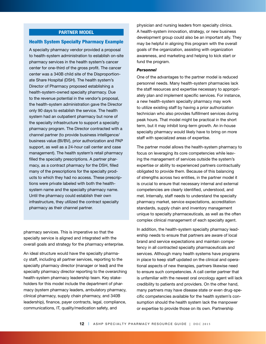# **PARTNER MODEL**

#### Health System Specialty Pharmacy Example

A specialty pharmacy vendor provided a proposal to health-system administration to establish on-site pharmacy services in the health system's cancer center for one-third of the gross profit. The cancer center was a 340B child site of the Disproportionate Share Hospital (DSH). The health system's Director of Pharmacy proposed establishing a health-system-owned specialty pharmacy. Due to the revenue potential in the vendor's proposal, the health-system administration gave the Director only 90 days to establish the service. The health system had an outpatient pharmacy but none of the specialty infrastructure to support a specialty pharmacy program. The Director contracted with a channel partner (to provide business intelligence/ business value (BI/BV), prior authorization and PAP support, as well as a 24-hour call center and case management). The health system's retail pharmacy filled the specialty prescriptions. A partner pharmacy, as a contract pharmacy for the DSH, filled many of the prescriptions for the specialty products to which they had no access. These prescriptions were private labeled with both the healthsystem name and the specialty pharmacy name. Until the pharmacy could establish their own infrastructure, they utilized the contract specialty pharmacy as their channel partner.

pharmacy services. This is imperative so that the specialty service is aligned and integrated with the overall goals and strategy for the pharmacy enterprise.

An ideal structure would have the specialty pharmacy staff, including all partner services, reporting to the specialty pharmacy director (manager or lead) and the specialty pharmacy director reporting to the overarching health-system pharmacy leadership team. Key stakeholders for this model include the department of pharmacy (system pharmacy leaders, ambulatory pharmacy, clinical pharmacy, supply chain pharmacy, and 340B leadership), finance, payer contracts, legal, compliance, communications, IT, quality/medication safety, and

physician and nursing leaders from specialty clinics. A health-system innovation, strategy, or new business development group could also be an important ally. They may be helpful in aligning this program with the overall goals of the organization, assisting with organization awareness, and marketing and helping to kick start or fund the program.

#### *Personnel*

One of the advantages to the partner model is reduced personnel needs. Many health-system pharmacies lack the staff resources and expertise necessary to appropriately plan and implement specific services. For instance, a new health-system specialty pharmacy may work to utilize existing staff by having a prior authorization technician who also provides fulfillment services during peak hours. That model might be practical in the short term, but it may inhibit long-term growth. An in-house specialty pharmacy would likely have to bring on more staff with specialized areas of expertise.

The partner model allows the health-system pharmacy to focus on leveraging its core competencies while leaving the management of services outside the system's expertise or ability to experienced partners contractually obligated to provide them. Because of this balancing of strengths across two entities, in the partner model it is crucial to ensure that necessary internal and external competencies are clearly identified, understood, and met. Internally, staff needs to understand the specialty pharmacy market, service expectations, accreditation standards, supply chain and inventory management unique to specialty pharmaceuticals, as well as the often complex clinical management of each specialty agent.

In addition, the health-system specialty pharmacy leadership needs to ensure that partners are aware of local brand and service expectations and maintain competency in all contracted specialty pharmaceuticals and services. Although many health systems have programs in place to keep staff updated on the clinical and operational aspects of new therapies, partners likewise need to ensure such competencies. A call center partner that is unfamiliar with the newest oral oncology agent will lack credibility to patients and providers. On the other hand, many partners may have disease state or even drug-specific competencies available for the health system's consumption should the health system lack the manpower or expertise to provide those on its own. Partnership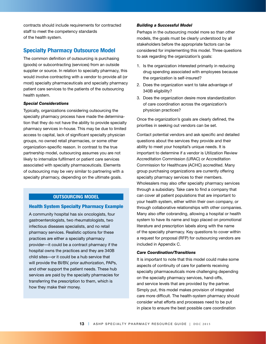contracts should include requirements for contracted staff to meet the competency standards of the health system.

# **Specialty Pharmacy Outsource Model**

The common definition of outsourcing is purchasing (goods) or subcontracting (services) from an outside supplier or source. In relation to specialty pharmacy, this would involve contracting with a vendor to provide all (or most) specialty pharmaceuticals and specialty pharmacy patient care services to the patients of the outsourcing health system.

# *Special Considerations*

Typically, organizations considering outsourcing the specialty pharmacy process have made the determination that they do not have the ability to provide specialty pharmacy services in-house. This may be due to limited access to capital, lack of significant specialty physician groups, no owned retail pharmacies, or some other organization-specific reason. In contrast to the true partnership model, outsourcing assumes you are not likely to internalize fulfilment or patient care services associated with specialty pharmaceuticals. Elements of outsourcing may be very similar to partnering with a specialty pharmacy, depending on the ultimate goals.

# **OUTSOURCING MODEL**

## Health System Specialty Pharmacy Example

A community hospital has six oncologists, four gastroenterologists, two rheumatologists, two infectious diseases specialists, and no retail pharmacy services. Realistic options for these practices are either a specialty pharmacy provider—it could be a contract pharmacy if the hospital owns the practices and they are 340B child sites—or it could be a hub service that will provide the BI/BV, prior authorization, PAPs, and other support the patient needs. These hub services are paid by the specialty pharmacies for transferring the prescription to them, which is how they make their money.

#### *Building a Successful Model*

Perhaps in the outsourcing model more so than other models, the goals must be clearly understood by all stakeholders before the appropriate factors can be considered for implementing this model. Three questions to ask regarding the organization's goals:

- 1. Is the organization interested primarily in reducing drug spending associated with employees because the organization is self-insured?
- 2. Does the organization want to take advantage of 340B eligibility?
- 3. Does the organization desire more standardization of care coordination across the organization's physician practices?

Once the organization's goals are clearly defined, the priorities in seeking out vendors can be set.

Contact potential vendors and ask specific and detailed questions about the services they provide and their ability to meet your hospital's unique needs. It is important to determine if a vendor is Utilization Review Accreditation Commission (URAC) or Accreditation Commission for Healthcare (ACHC) accredited. Many group purchasing organizations are currently offering specialty pharmacy services to their members. Wholesalers may also offer specialty pharmacy services through a subsidiary. Take care to find a company that can cover all patient populations that are important to your health system, either within their own company, or through collaborative relationships with other companies. Many also offer cobranding, allowing a hospital or health system to have its name and logo placed on promotional literature and prescription labels along with the name of the specialty pharmacy. Key questions to cover within a request for proposal (RFP) for outsourcing vendors are included in Appendix C.

#### *Care Coordination/Transitions*

It is important to note that this model could make some aspects of continuity of care for patients receiving specialty pharmaceuticals more challenging depending on the specialty pharmacy services, hand-offs, and service levels that are provided by the partner. Simply put, this model makes provision of integrated care more difficult. The health-system pharmacy should consider what efforts and processes need to be put in place to ensure the best possible care coordination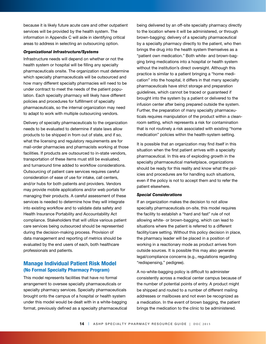because it is likely future acute care and other outpatient services will be provided by the health system. The information in Appendix C will aide in identifying critical areas to address in selecting an outsourcing option.

#### *Organizational Infrastructure/Systems*

Infrastructure needs will depend on whether or not the health system or hospital will be filling any specialty pharmaceuticals onsite. The organization must determine which specialty pharmaceuticals will be outsourced and how many different specialty pharmacies will need to be under contract to meet the needs of the patient population. Each specialty pharmacy will likely have different policies and procedures for fulfillment of specialty pharmaceuticals, so the internal organization may need to adapt to work with multiple outsourcing vendors.

Delivery of specialty pharmaceuticals to the organization needs to be evaluated to determine if state laws allow products to be shipped in from out of state, and if so, what the licensing and regulatory requirements are for mail-order pharmacies and pharmacists working at those facilities. If products are outsourced to in-state vendors, transportation of these items must still be evaluated, and turnaround time added to workflow considerations. Outsourcing of patient care services requires careful consideration of ease of use for intake, call centers, and/or hubs for both patients and providers. Vendors may provide mobile applications and/or web portals for managing their products. A careful assessment of these services is needed to determine how they will integrate into existing workflow and to validate data safety and Health Insurance Portability and Accountability Act compliance. Stakeholders that will utilize various patient care services being outsourced should be represented during the decision-making process. Provision of data management and reporting of metrics should be evaluated by the end users of each, both healthcare professionals and patients.

# **Manage Individual Patient Risk Model (No Formal Specialty Pharmacy Program)**

This model represents facilities that have no formal arrangement to oversee specialty pharmaceuticals or specialty pharmacy services. Specialty pharmaceuticals brought onto the campus of a hospital or health system under this model would be dealt with in a white-bagging format, previously defined as a specialty pharmaceutical being delivered by an off-site specialty pharmacy directly to the location where it will be administered, or through brown-bagging; delivery of a specialty pharmaceutical by a specialty pharmacy directly to the patient, who then brings the drug into the health system themselves as a "patient own medication." Both white- and brown-bagging bring medications into a hospital or health system without the institution's direct oversight. Although this practice is similar to a patient bringing a "home medication" into the hospital, it differs in that many specialty pharmaceuticals have strict storage and preparation guidelines, which cannot be traced or guaranteed if brought into the system by a patient or delivered to the infusion center after being prepared outside the system. Further, the preparation of many specialty pharmaceuticals requires manipulation of the product within a cleanroom setting, which represents a risk for contamination that is not routinely a risk associated with existing "home medication" policies within the health-system setting.

It is possible that an organization may find itself in this situation when the first patient arrives with a specialty pharmaceutical. In this era of exploding growth in the specialty pharmaceutical marketplace, organizations should be ready for this reality and know what the policies and procedures are for handling such situations, even if the policy is not to accept them and to refer the patient elsewhere.

#### *Special Considerations*

If an organization makes the decision to not allow specialty pharmaceuticals on-site, this model requires the facility to establish a "hard and fast" rule of not allowing white- or brown-bagging, which can lead to situations where the patient is referred to a different facility/care setting. Without this policy decision in place, the pharmacy leader will be placed in a position of working in a reactionary mode as product arrives from outside sources. It is possible this may also generate legal/compliance concerns (e.g., regulations regarding "redispensing," pedigree).

A no-white-bagging policy is difficult to administer consistently across a medical center campus because of the number of potential points of entry. A product might be shipped and routed to a number of different mailing addresses or mailboxes and not even be recognized as a medication. In the event of brown bagging, the patient brings the medication to the clinic to be administered.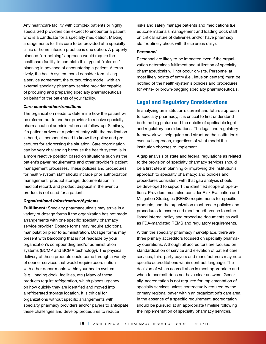Any healthcare facility with complex patients or highly specialized providers can expect to encounter a patient who is a candidate for a specialty medication. Making arrangements for this care to be provided at a specialty clinic or home infusion practice is one option. A properly planned "do-nothing" approach would require the healthcare facility to complete this type of "refer-out" planning in advance of encountering a patient. Alternatively, the health system could consider formalizing a service agreement, the outsourcing model, with an external specialty pharmacy service provider capable of procuring and preparing specialty pharmaceuticals on behalf of the patients of your facility.

#### *Care coordination/transitions*

The organization needs to determine how the patient will be referred out to another provider to receive specialty pharmaceutical administration and follow-up. Similarly, if a patient arrives at a point of entry with the medication in hand, all personnel need to know the policy and procedures for addressing the situation. Care coordination can be very challenging because the health system is in a more reactive position based on situations such as the patient's payer requirements and other provider's patient management processes. These policies and procedures for health-system staff should include prior authorization management, product storage, documentation in medical record, and product disposal in the event a product is not used for a patient.

## *Organizational Infrastructure/Systems*

Fulfillment: Specialty pharmaceuticals may arrive in a variety of dosage forms if the organization has not made arrangements with one specific specialty pharmacy service provider. Dosage forms may require additional manipulation prior to administration. Dosage forms may present with barcoding that is not readable by your organization's compounding and/or administration systems (BCMP and BCMA technology). The physical delivery of these products could come through a variety of courier services that would require coordination with other departments within your health system (e.g., loading dock, facilities, etc.) Many of these products require refrigeration, which places urgency on how quickly they are identified and moved into a refrigerated storage location. It is critical for organizations without specific arrangements with specialty pharmacy providers and/or payers to anticipate these challenges and develop procedures to reduce

risks and safely manage patients and medications (i.e., educate materials management and loading dock staff on critical nature of deliveries and/or have pharmacy staff routinely check with these areas daily).

#### *Personnel*

Personnel are likely to be impacted even if the organization determines fulfilment and utilization of specialty pharmaceuticals will not occur on-site. Personnel at most likely points of entry (i.e., infusion centers) must be notified of the health-system's policies and procedures for white- or brown-bagging specialty pharmaceuticals.

# **Legal and Regulatory Considerations**

In analyzing an institution's current and future approach to specialty pharmacy, it is critical to first understand both the big picture and the details of applicable legal and regulatory considerations. The legal and regulatory framework will help guide and structure the institution's eventual approach, regardless of what model the institution chooses to implement.

A gap analysis of state and federal regulations as related to the provision of specialty pharmacy services should be a first step in planning or improving the institution's approach to specialty pharmacy; and policies and procedures consistent with that gap analysis should be developed to support the identified scope of operations. Providers must also consider Risk Evaluation and Mitigation Strategies (REMS) requirements for specific products, and the organization must create policies and procedures to ensure and monitor adherence to established internal policy and procedure documents as well as FDA-mandated REMS and regulatory requirements.

Within the specialty pharmacy marketplace, there are three primary accreditors focused on specialty pharmacy operations. Although all accreditors are focused on standardization of service and elevation of patient care services, third-party payers and manufacturers may note specific accreditations within contract language. The decision of which accreditation is most appropriate and when to accredit does not have clear answers. Generally, accreditation is not required for implementation of specialty services unless contractually required by the primary regional payer within an organization's care area. In the absence of a specific requirement, accreditation should be pursued at an appropriate timeline following the implementation of specialty pharmacy services.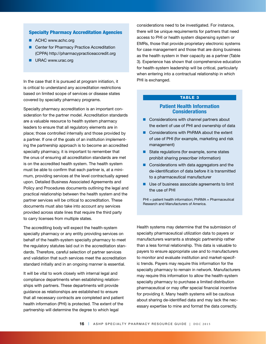## Specialty Pharmacy Accreditation Agencies

- ACHC www.achc.org
- Center for Pharmacy Practice Accreditation (CPPA) http://pharmacypracticeaccredit.org
- **N** URAC www.urac.org

In the case that it is pursued at program initiation, it is critical to understand any accreditation restrictions based on limited scope of services or disease states covered by specialty pharmacy programs.

Specialty pharmacy accreditation is an important consideration for the partner model. Accreditation standards are a valuable resource to health system pharmacy leaders to ensure that all regulatory elements are in place; those controlled internally and those provided by a partner. If one of the goals of an institution implementing the partnership approach is to become an accredited specialty pharmacy, it is important to remember that the onus of ensuring all accreditation standards are met is on the accredited health system. The health system must be able to confirm that each partner is, at a minimum, providing services at the level contractually agreed upon. Detailed Business Associated Agreements and Policy and Procedures documents outlining the legal and practical relationship between the health system and the partner services will be critical to accreditation. These documents must also take into account any services provided across state lines that require the third party to carry licenses from multiple states.

The accrediting body will expect the health-system specialty pharmacy or any entity providing services on behalf of the health-system specialty pharmacy to meet the regulatory statutes laid out in the accreditation standards. Therefore, careful selection of partner services and validation that such services meet the accreditation standard initially and in an ongoing manner is essential.

It will be vital to work closely with internal legal and compliance departments when establishing relationships with partners. These departments will provide guidance as relationships are established to ensure that all necessary contracts are completed and patient health information (PHI) is protected. The extent of the partnership will determine the degree to which legal

considerations need to be investigated. For instance, there will be unique requirements for partners that need access to PHI or health system dispensing system or EMRs, those that provide proprietary electronic systems for case management and those that are doing business as the health system in their capacity as a partner (Table 3). Experience has shown that comprehensive education for health-system leadership will be critical, particularly when entering into a contractual relationship in which PHI is exchanged.

# TABLE 3

# **Patient Health Information Considerations**

- $\blacksquare$  Considerations with channel partners about the extent of use of PHI and ownership of data
- $\blacksquare$  Considerations with PhRMA about the extent of use of PHI (for example, marketing and risk management)
- $\blacksquare$  State regulations (for example, some states prohibit sharing prescriber information)
- $\blacksquare$  Considerations with data aggregators and the de-identification of data before it is transmitted to a pharmaceutical manufacturer
- $\blacksquare$  Use of business associate agreements to limit the use of PHI

PHI = patient health information; PhRMA = Pharmaceutical Research and Manufacturers of America.

Health systems may determine that the submission of specialty pharmaceutical utilization data to payers or manufacturers warrants a strategic partnership rather than a less formal relationship. This data is valuable to payers to ensure appropriate use and to manufacturers to monitor and evaluate institution and market-specific trends. Payers may require this information for the specialty pharmacy to remain in network. Manufacturers may require this information to allow the health-system specialty pharmacy to purchase a limited distribution pharmaceutical or may offer special financial incentive for providing it. Many health systems will be cautious about sharing de-identified data and may lack the necessary expertise to mine and format the data correctly.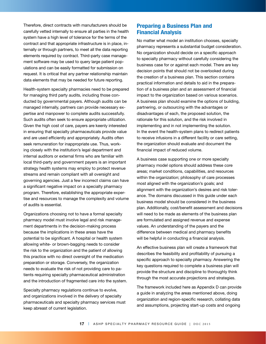Therefore, direct contracts with manufacturers should be carefully vetted internally to ensure all parties in the health system have a high level of tolerance for the terms of the contract and that appropriate infrastructure is in place, internally or through partners, to meet all the data reporting elements required by contract. Third-party case management software may be used to query large patient populations and can be easily formatted for submission on request. It is critical that any partner relationship maintain data elements that may be needed for future reporting.

Health-system specialty pharmacies need to be prepared for managing third party audits, including those conducted by governmental payers. Although audits can be managed internally, partners can provide necessary expertise and manpower to complete audits successfully. Such audits often seek to ensure appropriate utilization. Given the high cost of care, payers are keenly interested in ensuring that specialty pharmaceuticals provide value and are used efficiently and appropriately. Audits often seek remuneration for inappropriate use. Thus, working closely with the institution's legal department and internal auditors or external firms who are familiar with local third-party and government payers is an important strategy health systems may employ to protect revenue streams and remain compliant with all oversight and governing agencies. Just a few incorrect claims can have a significant negative impact on a specialty pharmacy program. Therefore, establishing the appropriate expertise and resources to manage the complexity and volume of audits is essential.

Organizations choosing not to have a formal specialty pharmacy model must involve legal and risk management departments in the decision-making process because the implications in these areas have the potential to be significant. A hospital or health system allowing white- or brown-bagging needs to consider the risk to the organization and the patient of allowing this practice with no direct oversight of the medication preparation or storage. Conversely, the organization needs to evaluate the risk of not providing care to patients requiring specialty pharmaceutical administration and the introduction of fragmented care into the system.

Specialty pharmacy regulations continue to evolve, and organizations involved in the delivery of specialty pharmaceuticals and specialty pharmacy services must keep abreast of current legislation.

# **Preparing a Business Plan and Financial Analysis**

No matter what model an institution chooses, specialty pharmacy represents a substantial budget consideration. No organization should decide on a specific approach to specialty pharmacy without carefully considering the business case for or against each model. There are key decision points that should not be overlooked during the creation of a business plan. This section contains practical information and details to aid in the preparation of a business plan and an assessment of financial impact to the organization based on various scenarios. A business plan should examine the options of building, partnering, or outsourcing with the advantages or disadvantages of each, the proposed solution, the rationale for this solution, and the risk involved in implementing and in not implementing the solution. In the event the health-system plans to redirect patients to receive infusions in a different facility or care setting, the organization should evaluate and document the financial impact of reduced volume.

A business case supporting one or more specialty pharmacy model options should address these core areas; market conditions, capabilities, and resources within the organization; philosophy of care processes most aligned with the organization's goals; and alignment with the organization's desires and risk tolerance. The domains discussed in this guide under each business model should be considered in the business plan. Additionally, cost/benefit assessment and decisions will need to be made as elements of the business plan are formulated and assigned revenue and expense values. An understanding of the payers and the difference between medical and pharmacy benefits will be helpful in conducting a financial analysis.

An effective business plan will create a framework that describes the feasibility and profitability of pursuing a specific approach to specialty pharmacy. Answering the key questions required to complete a business plan will provide the structure and discipline to thoroughly think through the most accurate projections and strategies.

The framework included here as Appendix D can provide a guide in analyzing the areas mentioned above, doing organization and region-specific research, collating data and assumptions, projecting start-up costs and ongoing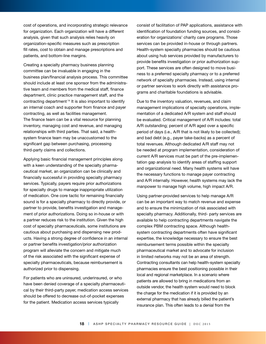cost of operations, and incorporating strategic relevance for organization. Each organization will have a different analysis, given that such analysis relies heavily on organization-specific measures such as prescription fill rates, cost to obtain and manage prescriptions and patients, and bottom-line margins.

Creating a specialty pharmacy business planning committee can be invaluable in engaging in the business plan/financial analysis process. This committee should include at least one sponsor from the administrative team and members from the medical staff, finance department, clinic practice management staff, and the contracting department.14 It is also important to identify an internal coach and supporter from finance and payer contracting, as well as facilities management. The finance team can be a vital resource for planning inventory, managing cost and revenue, and managing relationships with third parties. That said, a healthsystem finance team may be unaccustomed to the significant gap between purchasing, processing third-party claims and collections.

Applying basic financial management principles along with a keen understanding of the specialty pharmaceutical market, an organization can be clinically and financially successful in providing specialty pharmacy services. Typically, payers require prior authorizations for specialty drugs to manage inappropriate utilization of medication. One core tactic for remaining financially sound is for a specialty pharmacy to directly provide, or partner to provide, benefits investigation and management of prior authorizations. Doing so in-house or with a partner reduces risk to the institution. Given the high cost of specialty pharmaceuticals, some institutions are cautious about purchasing and dispensing new products. Having a strong degree of confidence in an internal or partner benefits investigation/prior authorization program will alleviate the concern and mitigate much of the risk associated with the significant expense of specialty pharmaceuticals, because reimbursement is authorized prior to dispensing.

For patients who are uninsured, underinsured, or who have been denied coverage of a specialty pharmaceutical by their third-party payer, medication access services should be offered to decrease out-of-pocket expenses for the patient. Medication access services typically

consist of facilitation of PAP applications, assistance with identification of foundation funding sources, and consideration for organizations' charity care programs. Those services can be provided in-house or through partners. Health-system specialty pharmacies should be cautious about using hub services provided by manufacturers to provide benefits investigation or prior authorization support. These services are often designed to move business to a preferred specialty pharmacy or to a preferred network of specialty pharmacies. Instead, using internal or partner services to work directly with assistance programs and charitable foundations is advisable.

Due to the inventory valuation, revenues, and claim management implications of specialty operations, implementation of a dedicated A/R system and staff should be evaluated. Critical management of A/R includes: total A/R outstanding; percent of A/R aged over a specific period of days (i.e., A/R that is not likely to be collected); and bad debt (e.g., payer take-backs) as a percent of total revenues. Although dedicated A/R staff may not be needed at program implementation, consideration of current A/R services must be part of the pre-implementation gap analysis to identify areas of staffing support and organizational need. Many health systems will have the necessary functions to manage payer contracting and A/R internally. However, health systems may lack the manpower to manage high volume, high impact A/R.

Using partner-provided services to help manage A/R can be an important way to match revenue and expense and to ensure the minimization of risk associated with specialty pharmacy. Additionally, third- party services are available to help contracting departments navigate the complex PBM contracting space. Although healthsystem contracting departments often have significant expertise, the knowledge necessary to ensure the best reimbursement terms possible within the specialty pharmaceutical market and to advocate for inclusion in limited networks may not be an area of strength. Contracting consultants can help health-system specialty pharmacies ensure the best positioning possible in their local and regional marketplace. In a scenario where patients are allowed to bring in medications from an outside vendor, the health system would need to block the charge for the medication if it is provided by an external pharmacy that has already billed the patient's insurance plan. This often leads to a denial from the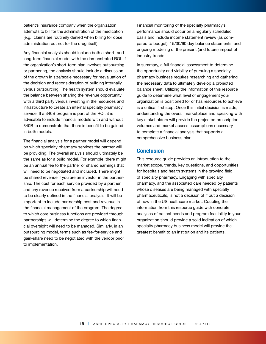patient's insurance company when the organization attempts to bill for the administration of the medication (e.g., claims are routinely denied when billing for dose administration but not for the drug itself).

Any financial analysis should include both a short- and long-term financial model with the demonstrated ROI. If the organization's short-term plan involves outsourcing or partnering, the analysis should include a discussion of the growth in size/scale necessary for reevaluation of the decision and reconsideration of building internally versus outsourcing. The health system should evaluate the balance between sharing the revenue opportunity with a third party versus investing in the resources and infrastructure to create an internal specialty pharmacy service. If a 340B program is part of the ROI, it is advisable to include financial models with and without 340B to demonstrate that there is benefit to be gained in both models.

The financial analysis for a partner model will depend on which specialty pharmacy services the partner will be providing. The overall analysis should ultimately be the same as for a build model. For example, there might be an annual fee to the partner or shared earnings that will need to be negotiated and included. There might be shared revenue if you are an investor in the partnership. The cost for each service provided by a partner and any revenue received from a partnership will need to be clearly defined in the financial analysis. It will be important to include partnership cost and revenue in the financial management of the program. The degree to which core business functions are provided through partnerships will determine the degree to which financial oversight will need to be managed. Similarly, in an outsourcing model, terms such as fee-for-service and gain-share need to be negotiated with the vendor prior to implementation.

Financial monitoring of the specialty pharmacy's performance should occur on a regularly scheduled basis and include income statement review (as compared to budget), 15/30/60 day balance statements, and ongoing modeling of the present (and future) impact of industry trends.

In summary, a full financial assessment to determine the opportunity and viability of pursuing a specialty pharmacy business requires researching and gathering the necessary data to ultimately develop a projected balance sheet. Utilizing the information of this resource guide to determine what level of engagement your organization is positioned for or has resources to achieve is a critical first step. Once this initial decision is made, understanding the overall marketplace and speaking with key stakeholders will provide the projected prescription volumes and market access assumptions necessary to complete a financial analysis that supports a comprehensive business plan.

# **Conclusion**

This resource guide provides an introduction to the market scope, trends, key questions, and opportunities for hospitals and health systems in the growing field of specialty pharmacy. Engaging with specialty pharmacy, and the associated care needed by patients whose diseases are being managed with specialty pharmaceuticals, is not a decision of if but a decision of how in the US healthcare market. Coupling the information from this resource guide with concrete analyses of patient needs and program feasibility in your organization should provide a solid indication of which specialty pharmacy business model will provide the greatest benefit to an institution and its patients.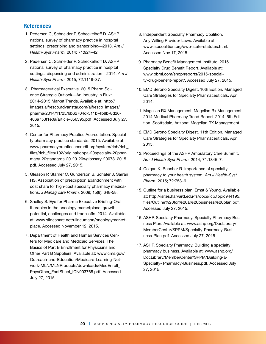# **References**

- 1. Pedersen C, Schneider P, Scheckelhoff D. ASHP national survey of pharmacy practice in hospital settings: prescribing and transcribing—2013. *Am J Health-Syst Pharm.* 2014; 71:924–42.
- 2. Pedersen C, Schneider P, Scheckelhoff D. ASHP national survey of pharmacy practice in hospital settings: dispensing and administration—2014. *Am J Health-Syst Pharm.* 2015; 72:1119–37.
- 3. Pharmaceutical Executive. 2015 Pharm Science Strategic Outlook—An Industry in Flux: 2014–2015 Market Trends. Available at: http:// images.alfresco.advanstar.com/alfresco\_images/ pharma/2014/11/25/6b62704d-511b-4b8b-8d26- 406a753f1e0a/article-856395.pdf. Accessed July 27, 2015.
- 4. Center for Pharmacy Practice Accreditation. Specialty pharmacy practice standards. 2015. Available at: www.pharmacypracticeaccredit.org/system/rich/rich\_ files/rich\_files/102/original/cppa-20specialty-20pharmacy-20standards-20-20-20wglossary-2007312015. pdf. Accessed July 27, 2015.
- 5. Gleason P, Starner C, Gunderson B, Schafer J, Sarran HS. Association of prescription abandonment with cost share for high-cost specialty pharmacy medications. *J Manag care Pharm.* 2009; 15(8): 648-58.
- 6. Shelley S. Eye for Pharma Executive Briefing-Oral therapies in the oncology marketplace: growth potential, challenges and trade-offs. 2014. Available at: www.slideshare.net/ulineumann/oncologymarketplace. Accessed November 12, 2015.
- 7. Department of Health and Human Services Centers for Medicare and Medicaid Services. The Basics of Part B Enrollment for Physicians and Other Part B Suppliers. Available at: www.cms.gov/ Outreach-and-Education/Medicare-Learning-Network-MLN/MLNProducts/downloads/MedEnroll\_ PhysOther\_FactSheet\_ICN903768.pdf. Accessed July 27, 2015.
- 8. Independent Specialty Pharmacy Coalition. Any Willing Provider Laws. Available at: www.ispcoalition.org/awp-state-statutes.html. Accessed Nov 17, 2015.
- 9. Pharmacy Benefit Management Institute. 2015 Specialty Drug Benefit Report. Available at: www.pbmi.com/shop/reports/2015-specialty-drug-benefit-report/. Accessed July 27, 2015.
- 10. EMD Serono Specialty Digest. 10th Edition. Managed Care Strategies for Specialty Pharmaceuticals. April 2014.
- 11. Magellan RX Management. Magellan Rx Management 2014 Medical Pharmacy Trend Report. 2014. 5th Edition. Scottsdale, Arizona: Magellan RX Management.
- 12. EMD Serono Specialty Digest. 11th Edition. Managed Care Strategies for Specialty Pharmaceuticals. April 2015.
- 13. Proceedings of the ASHP Ambulatory Care Summit. *Am J Health-Syst Pharm.* 2014; 71:1345–7.
- 14. Colgan K, Beacher R. Importance of specialty pharmacy to your health system. *Am J Health-Syst Pharm.* 2015; 72:753–6.
- 15. Outline for a business plan. Ernst & Young. Available at: http://isites.harvard.edu/fs/docs/icb.topic944195. files/Outline%20for%20a%20business%20plan.pdf. Accessed July 27, 2015.
- 16. ASHP. Specialty Pharmacy. Specialty Pharmacy Business Plan. Available at: www.ashp.org/DocLibrary/ MemberCenter/SPPM/Specialty-Pharmacy-Business-Plan.pdf. Accessed July 27, 2015.
- 17. ASHP. Specialty Pharmacy. Building a specialty pharmacy business. Available at: www.ashp.org/ DocLibrary/MemberCenter/SPPM/Building-a-Specialty- Pharmacy-Business.pdf. Accessed July 27, 2015.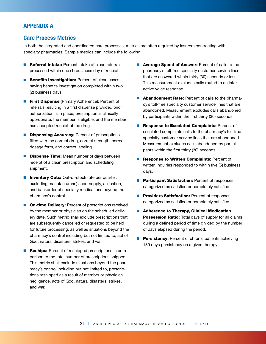# **APPENDIX A**

# **Care Process Metrics**

In both the integrated and coordinated care processes, metrics are often required by insurers contracting with specialty pharmacies. Sample metrics can include the following:

- **Referral Intake:** Percent intake of clean referrals processed within one (1) business day of receipt.
- **Benefits Investigation:** Percent of clean cases having benefits investigation completed within two (2) business days.
- **First Dispense** (Primary Adherence): Percent of referrals resulting in a first dispense provided prior authorization is in place, prescription is clinically appropriate, the member is eligible, and the member has accepted receipt of the drug.
- **Dispensing Accuracy:** Percent of prescriptions filled with the correct drug, correct strength, correct dosage form, and correct labeling.
- **Dispense Time:** Mean number of days between receipt of a clean prescription and scheduling shipment.
- **n Inventory Outs:** Out-of-stock rate per quarter, excluding manufacturer(s) short supply, allocation, and backorder of specialty medications beyond the pharmacy's control.
- **n** On-time Delivery: Percent of prescriptions received by the member or physician on the scheduled delivery date. Such metric shall exclude prescriptions that are subsequently cancelled or requested to be held for future processing, as well as situations beyond the pharmacy's control including but not limited to, act of God, natural disasters, strikes, and war.
- **Reships:** Percent of reshipped prescriptions in comparison to the total number of prescriptions shipped. This metric shall exclude situations beyond the pharmacy's control including but not limited to, prescriptions reshipped as a result of member or physician negligence, acts of God, natural disasters, strikes, and war.
- **n** Average Speed of Answer: Percent of calls to the pharmacy's toll-free specialty customer service lines that are answered within thirty (30) seconds or less. This measurement excludes calls routed to an interactive voice response.
- **n** Abandonment Rate: Percent of calls to the pharmacy's toll-free specialty customer service lines that are abandoned. Measurement excludes calls abandoned by participants within the first thirty (30) seconds.
- Response to Escalated Complaints: Percent of escalated complaints calls to the pharmacy's toll-free specialty customer service lines that are abandoned. Measurement excludes calls abandoned by participants within the first thirty (30) seconds.
- Response to Written Complaints: Percent of written inquiries responded to within five (5) business days.
- **Participant Satisfaction: Percent of responses** categorized as satisfied or completely satisfied.
- **Providers Satisfaction: Percent of responses** categorized as satisfied or completely satisfied.
- Adherence to Therapy, Clinical Medication Possession Ratio: Total days of supply for all claims during a defined period of time divided by the number of days elapsed during the period.
- **Persistency:** Percent of chronic patients achieving 180 days persistency on a given therapy.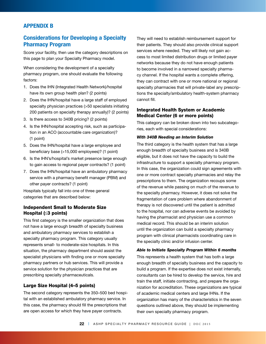# **APPENDIX B**

# **Considerations for Developing a Specialty Pharmacy Program**

Score your facility, then use the category descriptions on this page to plan your Specialty Pharmacy model.

When considering the development of a specialty pharmacy program, one should evaluate the following factors:

- 1. Does the IHN (Integrated Health Network)/hospital have its own group health plan? (2 points)
- 2. Does the IHN/hospital have a large staff of employed specialty physician practices (>50 specialists initiating 200 patients on specialty therapy annually)? (2 points)
- 3. Is there access to 340B pricing? (2 points)
- 4. Is the IHN/hospital accepting risk, such as participation in an ACO (accountable care organization)? (1 point)
- 5. Does the IHN/hospital have a large employee and beneficiary base (>15,000 employees)? (1 point)
- 6. Is the IHN's/hospital's market presence large enough to gain access to regional payer contracts? (1 point)
- 7. Does the IHN/hospital have an ambulatory pharmacy service with a pharmacy benefit manager (PBM) and other payer contracts? (1 point)

Hospitals typically fall into one of three general categories that are described below:

# Independent Small to Moderate Size Hospital (≤3 points)

This first category is the smaller organization that does not have a large enough breadth of specialty business and ambulatory pharmacy services to establish a specialty pharmacy program. This category usually represents small- to moderate-size hospitals. In this situation, the pharmacy department should assist the specialist physicians with finding one or more specialty pharmacy partners or hub services. This will provide a service solution for the physician practices that are prescribing specialty pharmaceuticals.

## Large Size Hospital (4–5 points)

The second category represents the 350–500 bed hospital with an established ambulatory pharmacy service. In this case, the pharmacy should fill the prescriptions that are open access for which they have payer contracts.

They will need to establish reimbursement support for their patients. They should also provide clinical support services where needed. They will likely not gain access to most limited distribution drugs or limited payer networks because they do not have enough patients to become involved in a narrowed specialty pharmacy channel. If the hospital wants a complete offering, they can contract with one or more national or regional specialty pharmacies that will private-label any prescriptions the specialty/ambulatory health-system pharmacy cannot fill.

# Integrated Health System or Academic Medical Center (6 or more points)

This category can be broken down into two subcategories, each with special considerations:

#### *With 340B Needing an Interim Solution*

The third category is the health system that has a large enough breadth of specialty business and is 340B eligible, but it does not have the capacity to build the infrastructure to support a specialty pharmacy program. In this case, the organization could sign agreements with one or more contract specialty pharmacies and relay the prescriptions to them. The organization recoups some of the revenue while passing on much of the revenue to the specialty pharmacy. However, it does not solve the fragmentation of care problem where abandonment of therapy is not discovered until the patient is admitted to the hospital, nor can adverse events be avoided by having the pharmacist and physician use a common medical record. This should be an interim solution until the organization can build a specialty pharmacy program with clinical pharmacists coordinating care in the specialty clinic and/or infusion center.

#### *Able to Initiate Specialty Program Within 6 months*

This represents a health system that has both a large enough breadth of specialty business and the capacity to build a program. If the expertise does not exist internally, consultants can be hired to develop the service, hire and train the staff, initiate contracting, and prepare the organization for accreditation. These organizations are typical of academic medical centers and large IHNs. If the organization has many of the characteristics in the seven questions outlined above, they should be implementing their own specialty pharmacy program.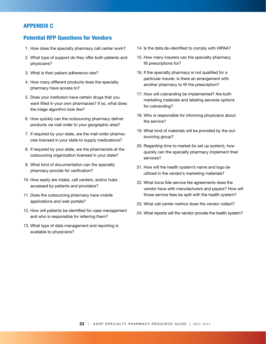# **APPENDIX C**

# **Potential RFP Questions for Vendors**

- 1. How does the specialty pharmacy call center work?
- 2. What type of support do they offer both patients and physicians?
- 3. What is their patient adherence rate?
- 4. How many different products does the specialty pharmacy have access to?
- 5. Does your institution have certain drugs that you want filled in your own pharmacies? If so, what does the triage algorithm look like?
- 6. How quickly can the outsourcing pharmacy deliver products via mail order to your geographic area?
- 7. If required by your state, are the mail-order pharmacies licensed in your state to supply medications?
- 8. If required by your state, are the pharmacists at the outsourcing organization licensed in your state?
- 9. What kind of documentation can the specialty pharmacy provide for verification?
- 10. How easily are intake, call centers, and/or hubs accessed by patients and providers?
- 11. Does the outsourcing pharmacy have mobile applications and web portals?
- 12. How will patients be identified for case management and who is responsible for referring them?
- 13. What type of data management and reporting is available to physicians?
- 14. Is the data de-identified to comply with HIPAA?
- 15. How many insurers can the specialty pharmacy fill prescriptions for?
- 16. If the specialty pharmacy is not qualified for a particular insurer, is there an arrangement with another pharmacy to fill the prescription?
- 17. How will cobranding be implemented? Are both marketing materials and labeling services options for cobranding?
- 18. Who is responsible for informing physicians about the service?
- 19. What kind of materials will be provided by the outsourcing group?
- 20. Regarding time to market (to set up system), how quickly can the specialty pharmacy implement their services?
- 21. How will the health system's name and logo be utilized in the vendor's marketing materials?
- 22. What bona fide service fee agreements does the vendor have with manufacturers and payers? How will those service fees be split with the health system?
- 23. What call center metrics does the vendor collect?
- 24. What reports will the vendor provide the health system?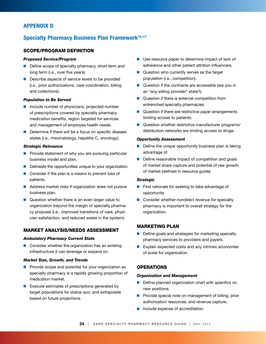# **APPENDIX D**

# **Specialty Pharmacy Business Plan Framework<sup>15-17</sup>**

## SCOPE/PROGRAM DEFINITION

#### *Proposed Service/Program*

- $\blacksquare$  Define scope of specialty pharmacy, short term and long term (i.e., over five years).
- Describe aspects of service levels to be provided (i.e., prior authorizations, care coordination, billing and collections).

## *Population to Be Served*

- $\blacksquare$  Include number of physicians, projected number of prescriptions covered by specialty pharmacy medication benefits, region targeted for services and management of employee health needs.
- $\blacksquare$  Determine if there will be a focus on specific disease states (i.e., rheumatology, hepatitis C, oncology).
- $\blacksquare$  Provide statement of why you are pursuing particular business model and plan.
- $\blacksquare$  Delineate the opportunities unique to your organization.
- $\blacksquare$  Consider if the plan is a means to prevent loss of patients.
- Address market risks if organization does not pursue business plan.
- $\blacksquare$  Question whether there is an even larger value to organization beyond the margin of specialty pharmacy proposal (i.e., improved transitions of care, physician satisfaction, and reduced waste in the system).

# MARKET ANALYSIS/NEEDS ASSESSMENT

## *Ambulatory Pharmacy Current State*

 $\blacksquare$  Consider whether the organization has an existing infrastructure it can leverage or expand on.

## *Market Size, Growth, and Trends*

- $\blacksquare$  Provide scope and potential for your organization as specialty pharmacy is a rapidly growing proportion of medication market.
- Execute estimates of prescriptions generated by target populations for status quo, and extrapolate based on future projections.
- Use resource paper to determine impact of lack of adherence and other patient attrition influencers.
- $\blacksquare$  Question who currently serves as the target population (i.e., competition).
- Question if the contracts are accessible (are you in an "any willing provider" state?).
- $\blacksquare$  Question if there is external competition from entrenched specialty pharmacies.
- Question if there are restrictive payer arrangements limiting access to patients.
- $\blacksquare$  Question whether restrictive manufacturer programs/ distribution networks are limiting access to drugs.

#### *Opportunity Assessment*

- $\blacksquare$  Define the unique opportunity business plan is taking advantage of.
- $\blacksquare$  Define reasonable impact of competition and goals of market share capture and potential of raw growth of market (defined in resource guide)

#### *Strategic*

- $\blacksquare$  Find rationale for seeking to take advantage of opportunity.
- $\blacksquare$  Consider whether nondirect revenue for specialty pharmacy is important to overall strategy for the organization.

## MARKETING PLAN

- $\blacksquare$  Define goals and strategies for marketing specialty pharmacy services to providers and payers.
- $\blacksquare$  Explain expected costs and any intrinsic economies of scale for organization.

## **OPERATIONS**

#### *Organization and Management*

- $\blacksquare$  Define planned organization chart with specifics on new positions.
- $\blacksquare$  Provide special note on management of billing, prior authorization resources, and revenue capture.
- n Include expense of accreditation.

# *Strategic Relevance*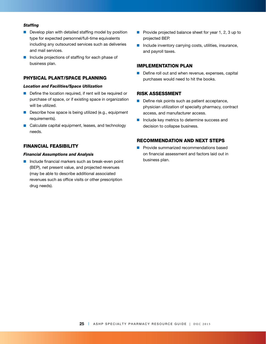#### *Staffing*

- $\blacksquare$  Develop plan with detailed staffing model by position type for expected personnel/full-time equivalents including any outsourced services such as deliveries and mail services.
- Include projections of staffing for each phase of business plan.

# PHYSICAL PLANT/SPACE PLANNING

# *Location and Facilities/Space Utilization*

- $\blacksquare$  Define the location required, if rent will be required or purchase of space, or if existing space in organization will be utilized.
- Describe how space is being utilized (e.g., equipment requirements).
- Calculate capital equipment, leases, and technology needs.

## FINANCIAL FEASIBILITY

#### *Financial Assumptions and Analysis*

 $\blacksquare$  Include financial markers such as break-even point (BEP), net present value, and projected revenues (may be able to describe additional associated revenues such as office visits or other prescription drug needs).

- Provide projected balance sheet for year 1, 2, 3 up to projected BEP.
- $\blacksquare$  Include inventory carrying costs, utilities, insurance, and payroll taxes.

## IMPLEMENTATION PLAN

 $\blacksquare$  Define roll out and when revenue, expenses, capital purchases would need to hit the books.

## RISK ASSESSMENT

- $\blacksquare$  Define risk points such as patient acceptance, physician utilization of specialty pharmacy, contract access, and manufacturer access.
- $\blacksquare$  Include key metrics to determine success and decision to collapse business.

# RECOMMENDATION AND NEXT STEPS

 $\blacksquare$  Provide summarized recommendations based on financial assessment and factors laid out in business plan.